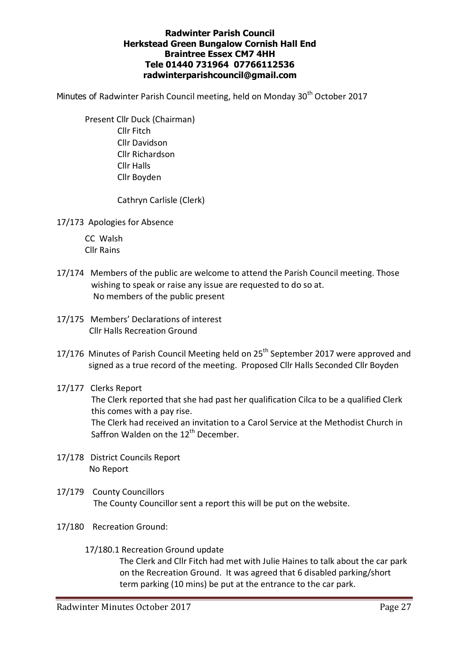## **Radwinter Parish Council Herkstead Green Bungalow Cornish Hall End Braintree Essex CM7 4HH Tele 01440 731964 07766112536 radwinterparishcouncil@gmail.com**

Minutes of Radwinter Parish Council meeting, held on Monday 30<sup>th</sup> October 2017

 Present Cllr Duck (Chairman) Cllr Fitch Cllr Davidson Cllr Richardson Cllr Halls Cllr Boyden

Cathryn Carlisle (Clerk)

- 17/173 Apologies for Absence
	- CC Walsh Cllr Rains
- 17/174 Members of the public are welcome to attend the Parish Council meeting. Those wishing to speak or raise any issue are requested to do so at. No members of the public present
- 17/175 Members' Declarations of interest Cllr Halls Recreation Ground
- 17/176 Minutes of Parish Council Meeting held on 25<sup>th</sup> September 2017 were approved and signed as a true record of the meeting. Proposed Cllr Halls Seconded Cllr Boyden
- 17/177 Clerks Report

The Clerk reported that she had past her qualification Cilca to be a qualified Clerk this comes with a pay rise.

 The Clerk had received an invitation to a Carol Service at the Methodist Church in Saffron Walden on the  $12<sup>th</sup>$  December.

- 17/178 District Councils Report No Report
- 17/179 County Councillors The County Councillor sent a report this will be put on the website.
- 17/180 Recreation Ground:
	- 17/180.1 Recreation Ground update

The Clerk and Cllr Fitch had met with Julie Haines to talk about the car park on the Recreation Ground. It was agreed that 6 disabled parking/short term parking (10 mins) be put at the entrance to the car park.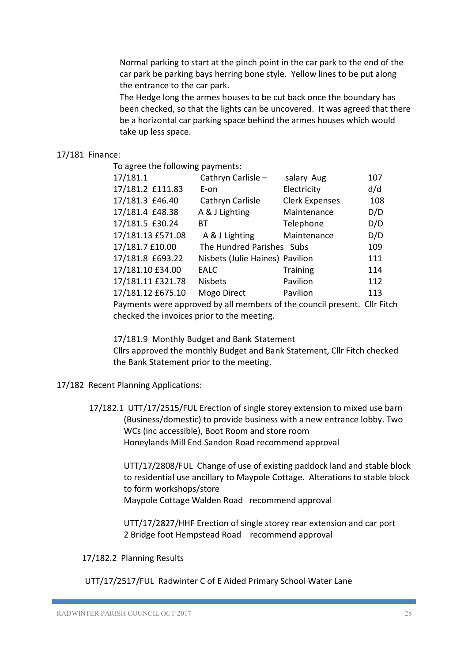Normal parking to start at the pinch point in the car park to the end of the car park be parking bays herring bone style. Yellow lines to be put along the entrance to the car park.

The Hedge long the armes houses to be cut back once the boundary has been checked, so that the lights can be uncovered. It was agreed that there be a horizontal car parking space behind the armes houses which would take up less space.

### 17/181 Finance:

To agree the following payments:

| Cathryn Carlisle - | salary Aug      | 107                                                                                   |
|--------------------|-----------------|---------------------------------------------------------------------------------------|
| E-on               | Electricity     | d/d                                                                                   |
| Cathryn Carlisle   |                 | 108                                                                                   |
| A & J Lighting     | Maintenance     | D/D                                                                                   |
| BТ                 | Telephone       | D/D                                                                                   |
| A & J Lighting     | Maintenance     | D/D                                                                                   |
|                    |                 | 109                                                                                   |
|                    |                 | 111                                                                                   |
| <b>EALC</b>        | <b>Training</b> | 114                                                                                   |
| <b>Nisbets</b>     | Pavilion        | 112                                                                                   |
| Mogo Direct        | Pavilion        | 113                                                                                   |
|                    |                 | <b>Clerk Expenses</b><br>The Hundred Parishes Subs<br>Nisbets (Julie Haines) Pavilion |

Payments were approved by all members of the council present. Cllr Fitch checked the invoices prior to the meeting.

17/181.9 Monthly Budget and Bank Statement

Cllrs approved the monthly Budget and Bank Statement, Cllr Fitch checked the Bank Statement prior to the meeting.

17/182 Recent Planning Applications:

 17/182.1 UTT/17/2515/FUL Erection of single storey extension to mixed use barn (Business/domestic) to provide business with a new entrance lobby. Two WCs (inc accessible), Boot Room and store room Honeylands Mill End Sandon Road recommend approval

> UTT/17/2808/FUL Change of use of existing paddock land and stable block to residential use ancillary to Maypole Cottage. Alterations to stable block to form workshops/store Maypole Cottage Walden Road recommend approval

UTT/17/2827/HHF Erection of single storey rear extension and car port 2 Bridge foot Hempstead Road recommend approval

17/182.2 Planning Results

UTT/17/2517/FUL Radwinter C of E Aided Primary School Water Lane